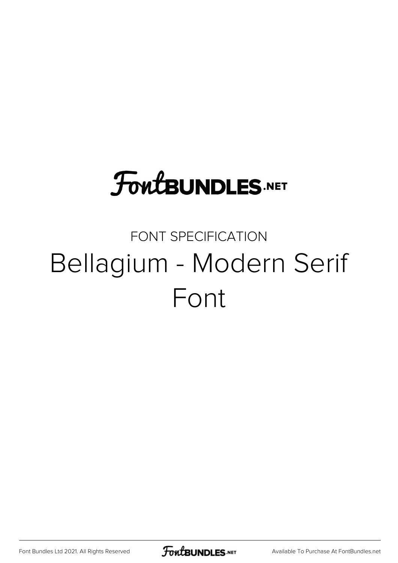### **FoutBUNDLES.NET**

### FONT SPECIFICATION Bellagium - Modern Serif Font

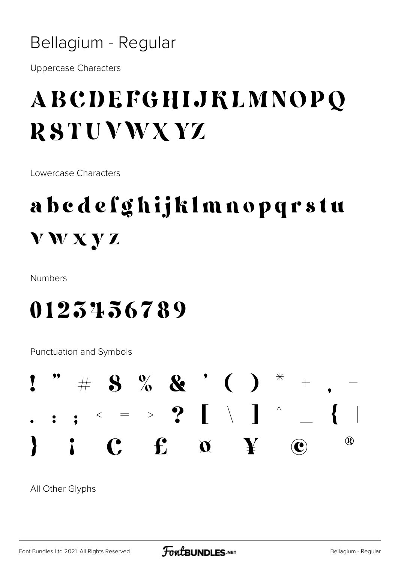#### Bellagium - Regular

**Uppercase Characters** 

### ABCDEFGHIJKLMNOPQ **RSTUVWXYZ**

Lowercase Characters

### abedefghijklmnopqrstu **VWXYZ**

**Numbers** 

#### 0123456789

**Punctuation and Symbols** 



All Other Glyphs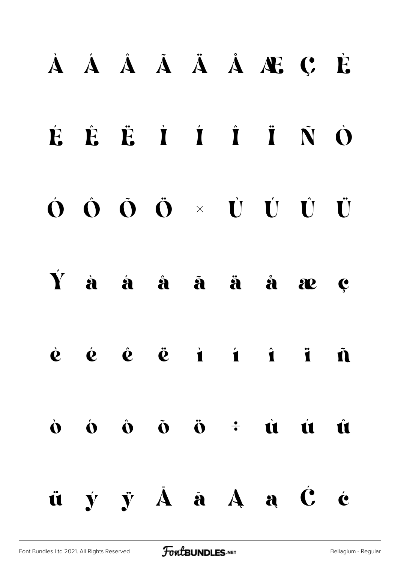### À Á Â Ã Ä Å Æ Ç È

### É Ê Ë Ì Í Î Ï Ñ Ò

### Ó Ô Õ Ö × Ù Ú Û Ü

#### Ý à á â ã ä å æ ç



## $\dot{0}$   $\dot{0}$   $\ddot{0}$   $\ddot{0}$   $\ddot{0}$   $\dot{1}$   $\dot{1}$   $\dot{1}$   $\dot{1}$ ü ý ÿ Ā ā Ą ą Ć ć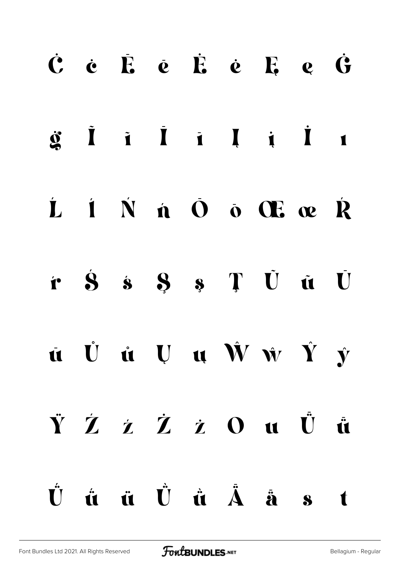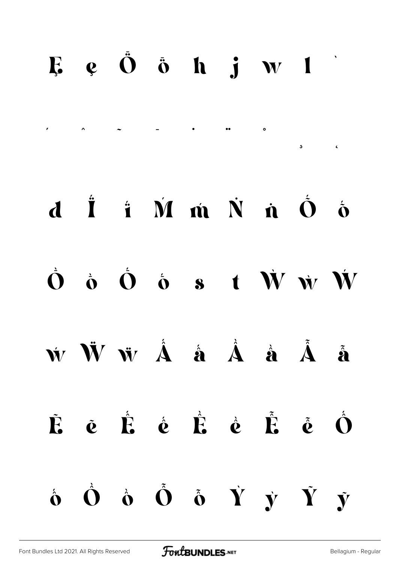#### $E$   $e$   $\ddot{O}$   $\ddot{o}$   $h$   $j$   $w$   $1$

́ ̂ ̃ ̄ ̇ ̈ ̊ ̧ ̨

### d İ i M m N n  $\dot{\mathbf{O}}$   $\dot{\mathbf{O}}$

 $\dot{\mathbf{O}}$   $\dot{\mathbf{O}}$   $\dot{\mathbf{O}}$   $\dot{\mathbf{O}}$  s t  $\dot{\mathbf{W}}$   $\dot{\mathbf{W}}$ 

ẃ Ẅ ẅ Ấ ấ Ầ ầ Ẫ ẫ

Ẽ ẽ Ế ế Ề ề Ễ ễ Ố  $\dot{\mathbf{o}}$   $\dot{\mathbf{o}}$   $\dot{\mathbf{o}}$   $\dot{\mathbf{o}}$   $\dot{\mathbf{v}}$   $\dot{\mathbf{y}}$   $\dot{\mathbf{v}}$   $\dot{\mathbf{y}}$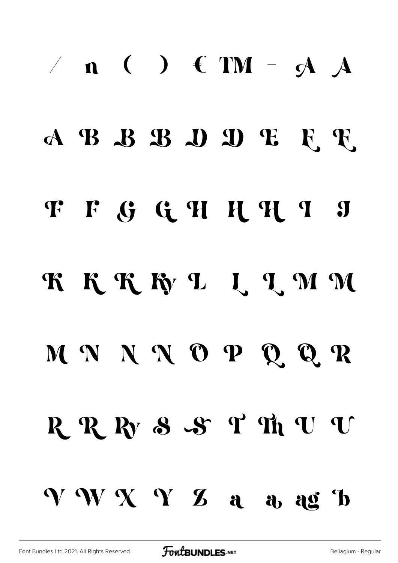# $/ n$  ( )  $f$  TM -  $A$   $A$ ABBBDDEET F F G G H H H I J KKKKLLLMM MNNNOPQQR R R R S S T Th U U VWXYZ a a ag b